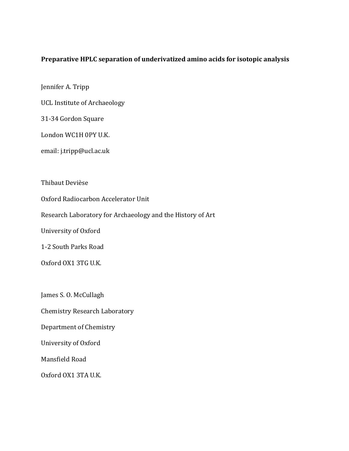## Preparative HPLC separation of underivatized amino acids for isotopic analysis

Jennifer A. Tripp

UCL Institute of Archaeology

31-34 Gordon Square

London WC1H 0PY U.K.

email: j.tripp@ucl.ac.uk

Thibaut Devièse

Oxford Radiocarbon Accelerator Unit

Research Laboratory for Archaeology and the History of Art

University of Oxford

1-2 South Parks Road

Oxford OX1 3TG U.K.

James S. O. McCullagh

Chemistry Research Laboratory

Department of Chemistry

University of Oxford

Mansfield Road

Oxford OX1 3TA U.K.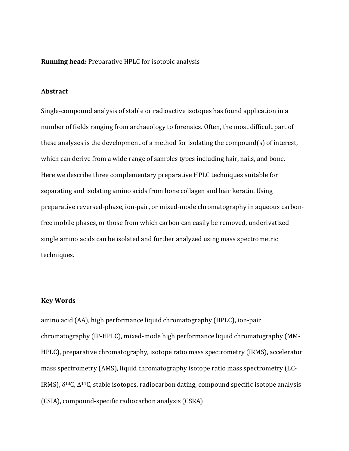#### **Running head:** Preparative HPLC for isotopic analysis

#### **Abstract**

Single-compound analysis of stable or radioactive isotopes has found application in a number of fields ranging from archaeology to forensics. Often, the most difficult part of these analyses is the development of a method for isolating the compound(s) of interest, which can derive from a wide range of samples types including hair, nails, and bone. Here we describe three complementary preparative HPLC techniques suitable for separating and isolating amino acids from bone collagen and hair keratin. Using preparative reversed-phase, ion-pair, or mixed-mode chromatography in aqueous carbonfree mobile phases, or those from which carbon can easily be removed, underivatized single amino acids can be isolated and further analyzed using mass spectrometric techniques.

## **Key Words**

amino acid (AA), high performance liquid chromatography (HPLC), ion-pair chromatography (IP-HPLC), mixed-mode high performance liquid chromatography (MM-HPLC), preparative chromatography, isotope ratio mass spectrometry (IRMS), accelerator mass spectrometry (AMS), liquid chromatography isotope ratio mass spectrometry (LC-IRMS),  $\delta^{13}$ C,  $\Delta^{14}$ C, stable isotopes, radiocarbon dating, compound specific isotope analysis (CSIA), compound-specific radiocarbon analysis (CSRA)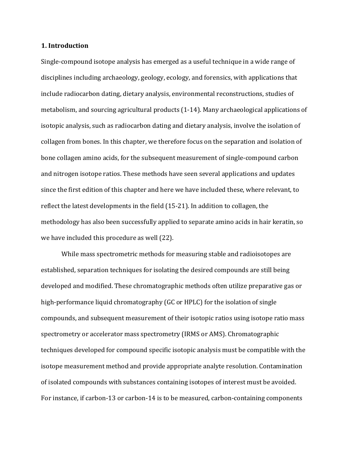#### **1. Introduction**

Single-compound isotope analysis has emerged as a useful technique in a wide range of disciplines including archaeology, geology, ecology, and forensics, with applications that include radiocarbon dating, dietary analysis, environmental reconstructions, studies of metabolism, and sourcing agricultural products (1-14). Many archaeological applications of isotopic analysis, such as radiocarbon dating and dietary analysis, involve the isolation of collagen from bones. In this chapter, we therefore focus on the separation and isolation of bone collagen amino acids, for the subsequent measurement of single-compound carbon and nitrogen isotope ratios. These methods have seen several applications and updates since the first edition of this chapter and here we have included these, where relevant, to reflect the latest developments in the field (15-21). In addition to collagen, the methodology has also been successfully applied to separate amino acids in hair keratin, so we have included this procedure as well (22).

While mass spectrometric methods for measuring stable and radioisotopes are established, separation techniques for isolating the desired compounds are still being developed and modified. These chromatographic methods often utilize preparative gas or high-performance liquid chromatography (GC or HPLC) for the isolation of single compounds, and subsequent measurement of their isotopic ratios using isotope ratio mass spectrometry or accelerator mass spectrometry (IRMS or AMS). Chromatographic techniques developed for compound specific isotopic analysis must be compatible with the isotope measurement method and provide appropriate analyte resolution. Contamination of isolated compounds with substances containing isotopes of interest must be avoided. For instance, if carbon-13 or carbon-14 is to be measured, carbon-containing components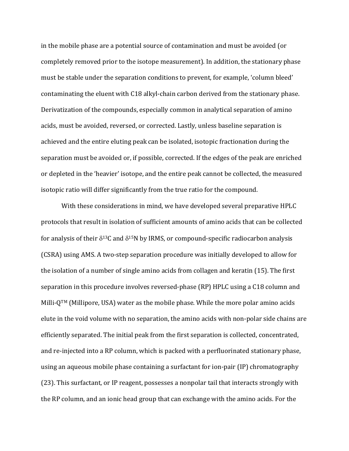in the mobile phase are a potential source of contamination and must be avoided (or completely removed prior to the isotope measurement). In addition, the stationary phase must be stable under the separation conditions to prevent, for example, 'column bleed' contaminating the eluent with C18 alkyl-chain carbon derived from the stationary phase. Derivatization of the compounds, especially common in analytical separation of amino acids, must be avoided, reversed, or corrected. Lastly, unless baseline separation is achieved and the entire eluting peak can be isolated, isotopic fractionation during the separation must be avoided or, if possible, corrected. If the edges of the peak are enriched or depleted in the 'heavier' isotope, and the entire peak cannot be collected, the measured isotopic ratio will differ significantly from the true ratio for the compound.

With these considerations in mind, we have developed several preparative HPLC protocols that result in isolation of sufficient amounts of amino acids that can be collected for analysis of their  $\delta^{13}C$  and  $\delta^{15}N$  by IRMS, or compound-specific radiocarbon analysis (CSRA) using AMS. A two-step separation procedure was initially developed to allow for the isolation of a number of single amino acids from collagen and keratin  $(15)$ . The first separation in this procedure involves reversed-phase (RP) HPLC using a C18 column and Milli- $Q^{TM}$  (Millipore, USA) water as the mobile phase. While the more polar amino acids elute in the void volume with no separation, the amino acids with non-polar side chains are efficiently separated. The initial peak from the first separation is collected, concentrated, and re-injected into a RP column, which is packed with a perfluorinated stationary phase, using an aqueous mobile phase containing a surfactant for ion-pair (IP) chromatography (23). This surfactant, or IP reagent, possesses a nonpolar tail that interacts strongly with the RP column, and an ionic head group that can exchange with the amino acids. For the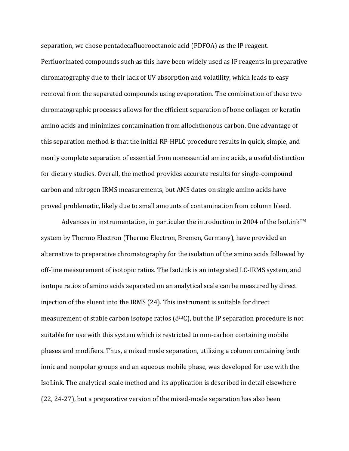separation, we chose pentadecafluorooctanoic acid (PDFOA) as the IP reagent. Perfluorinated compounds such as this have been widely used as IP reagents in preparative chromatography due to their lack of UV absorption and volatility, which leads to easy removal from the separated compounds using evaporation. The combination of these two chromatographic processes allows for the efficient separation of bone collagen or keratin amino acids and minimizes contamination from allochthonous carbon. One advantage of this separation method is that the initial RP-HPLC procedure results in quick, simple, and nearly complete separation of essential from nonessential amino acids, a useful distinction for dietary studies. Overall, the method provides accurate results for single-compound carbon and nitrogen IRMS measurements, but AMS dates on single amino acids have proved problematic, likely due to small amounts of contamination from column bleed.

Advances in instrumentation, in particular the introduction in 2004 of the IsoLink<sup>TM</sup> system by Thermo Electron (Thermo Electron, Bremen, Germany), have provided an alternative to preparative chromatography for the isolation of the amino acids followed by off-line measurement of isotopic ratios. The IsoLink is an integrated LC-IRMS system, and isotope ratios of amino acids separated on an analytical scale can be measured by direct injection of the eluent into the IRMS (24). This instrument is suitable for direct measurement of stable carbon isotope ratios ( $\delta^{13}C$ ), but the IP separation procedure is not suitable for use with this system which is restricted to non-carbon containing mobile phases and modifiers. Thus, a mixed mode separation, utilizing a column containing both ionic and nonpolar groups and an aqueous mobile phase, was developed for use with the IsoLink. The analytical-scale method and its application is described in detail elsewhere  $(22, 24-27)$ , but a preparative version of the mixed-mode separation has also been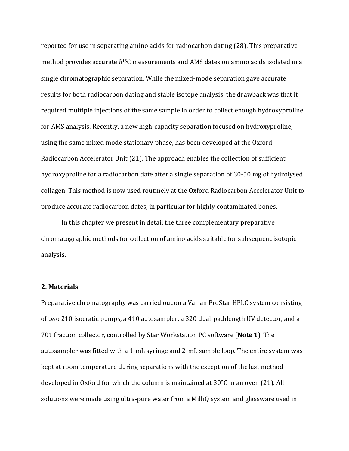reported for use in separating amino acids for radiocarbon dating (28). This preparative method provides accurate  $\delta^{13}$ C measurements and AMS dates on amino acids isolated in a single chromatographic separation. While the mixed-mode separation gave accurate results for both radiocarbon dating and stable isotope analysis, the drawback was that it required multiple injections of the same sample in order to collect enough hydroxyproline for AMS analysis. Recently, a new high-capacity separation focused on hydroxyproline, using the same mixed mode stationary phase, has been developed at the Oxford Radiocarbon Accelerator Unit (21). The approach enables the collection of sufficient hydroxyproline for a radiocarbon date after a single separation of 30-50 mg of hydrolysed collagen. This method is now used routinely at the Oxford Radiocarbon Accelerator Unit to produce accurate radiocarbon dates, in particular for highly contaminated bones.

In this chapter we present in detail the three complementary preparative chromatographic methods for collection of amino acids suitable for subsequent isotopic analysis.

#### **2. Materials**

Preparative chromatography was carried out on a Varian ProStar HPLC system consisting of two 210 isocratic pumps, a 410 autosampler, a 320 dual-pathlength UV detector, and a 701 fraction collector, controlled by Star Workstation PC software (Note 1). The autosampler was fitted with a 1-mL syringe and 2-mL sample loop. The entire system was kept at room temperature during separations with the exception of the last method developed in Oxford for which the column is maintained at  $30^{\circ}$ C in an oven (21). All solutions were made using ultra-pure water from a MilliQ system and glassware used in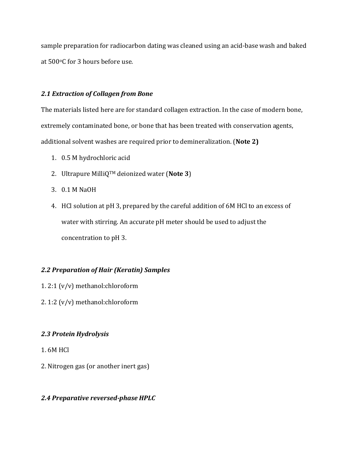sample preparation for radiocarbon dating was cleaned using an acid-base wash and baked at 500°C for 3 hours before use.

### *2.1 Extraction of Collagen from Bone*

The materials listed here are for standard collagen extraction. In the case of modern bone, extremely contaminated bone, or bone that has been treated with conservation agents, additional solvent washes are required prior to demineralization. (Note 2)

- 1. 0.5 M hydrochloric acid
- 2. Ultrapure MilliQ<sup>TM</sup> deionized water (**Note 3**)
- 3. 0.1 M NaOH
- 4. HCl solution at pH 3, prepared by the careful addition of 6M HCl to an excess of water with stirring. An accurate pH meter should be used to adjust the concentration to pH 3.

### *2.2 Preparation of Hair (Keratin) Samples*

- 1.  $2:1 (v/v)$  methanol: chloroform
- 2. 1:2  $(v/v)$  methanol:chloroform

## *2.3 Protein Hydrolysis*

- 1.6M HCl
- 2. Nitrogen gas (or another inert gas)

## 2.4 Preparative reversed-phase HPLC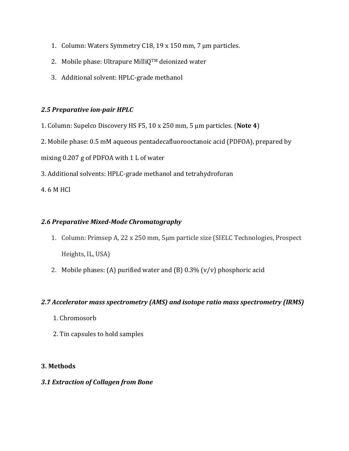- 1. Column: Waters Symmetry C18, 19 x 150 mm, 7  $\mu$ m particles.
- 2. Mobile phase: Ultrapure MilliQ<sup>TM</sup> deionized water
- 3. Additional solvent: HPLC-grade methanol

# **2.5 Preparative ion-pair HPLC**

- 1. Column: Supelco Discovery HS F5, 10 x 250 mm, 5 µm particles. (Note 4)
- 2. Mobile phase: 0.5 mM aqueous pentadecafluorooctanoic acid (PDFOA), prepared by

mixing 0.207 g of PDFOA with 1 L of water

3. Additional solvents: HPLC-grade methanol and tetrahydrofuran

4. 6 M HCl

# *2.6 Preparative Mixed-Mode Chromatography*

- 1. Column: Primsep A, 22 x 250 mm, 5µm particle size (SIELC Technologies, Prospect Heights, IL, USA)
- 2. Mobile phases: (A) purified water and  $(B)$  0.3%  $(v/v)$  phosphoric acid

# 2.7 Accelerator mass spectrometry (AMS) and isotope ratio mass spectrometry (IRMS)

- 1. Chromosorb
- 2. Tin capsules to hold samples

# **3. Methods**

# *3.1 Extraction of Collagen from Bone*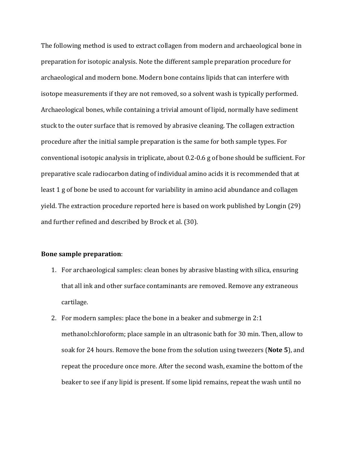The following method is used to extract collagen from modern and archaeological bone in preparation for isotopic analysis. Note the different sample preparation procedure for archaeological and modern bone. Modern bone contains lipids that can interfere with isotope measurements if they are not removed, so a solvent wash is typically performed. Archaeological bones, while containing a trivial amount of lipid, normally have sediment stuck to the outer surface that is removed by abrasive cleaning. The collagen extraction procedure after the initial sample preparation is the same for both sample types. For conventional isotopic analysis in triplicate, about 0.2-0.6 g of bone should be sufficient. For preparative scale radiocarbon dating of individual amino acids it is recommended that at least 1 g of bone be used to account for variability in amino acid abundance and collagen yield. The extraction procedure reported here is based on work published by Longin (29) and further refined and described by Brock et al. (30).

### **Bone sample preparation**:

- 1. For archaeological samples: clean bones by abrasive blasting with silica, ensuring that all ink and other surface contaminants are removed. Remove any extraneous cartilage.
- 2. For modern samples: place the bone in a beaker and submerge in  $2:1$ methanol: chloroform; place sample in an ultrasonic bath for 30 min. Then, allow to soak for 24 hours. Remove the bone from the solution using tweezers (Note 5), and repeat the procedure once more. After the second wash, examine the bottom of the beaker to see if any lipid is present. If some lipid remains, repeat the wash until no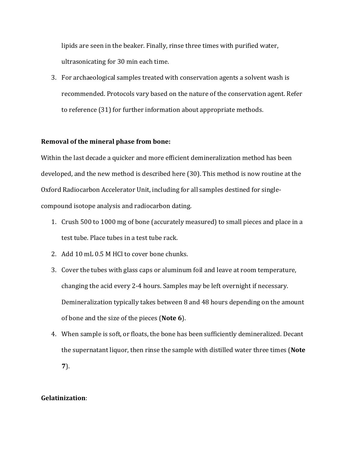lipids are seen in the beaker. Finally, rinse three times with purified water, ultrasonicating for 30 min each time.

3. For archaeological samples treated with conservation agents a solvent wash is recommended. Protocols vary based on the nature of the conservation agent. Refer to reference (31) for further information about appropriate methods.

#### **Removal of the mineral phase from bone:**

Within the last decade a quicker and more efficient demineralization method has been developed, and the new method is described here (30). This method is now routine at the Oxford Radiocarbon Accelerator Unit, including for all samples destined for singlecompound isotope analysis and radiocarbon dating.

- 1. Crush 500 to 1000 mg of bone (accurately measured) to small pieces and place in a test tube. Place tubes in a test tube rack.
- 2. Add 10 mL 0.5 M HCl to cover bone chunks.
- 3. Cover the tubes with glass caps or aluminum foil and leave at room temperature, changing the acid every 2-4 hours. Samples may be left overnight if necessary. Demineralization typically takes between 8 and 48 hours depending on the amount of bone and the size of the pieces (Note 6).
- 4. When sample is soft, or floats, the bone has been sufficiently demineralized. Decant the supernatant liquor, then rinse the sample with distilled water three times (Note **7**).

## **Gelatinization**: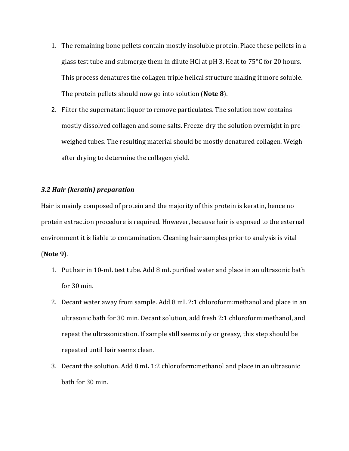- 1. The remaining bone pellets contain mostly insoluble protein. Place these pellets in a glass test tube and submerge them in dilute HCl at  $pH$  3. Heat to  $75^{\circ}C$  for 20 hours. This process denatures the collagen triple helical structure making it more soluble. The protein pellets should now go into solution (Note 8).
- 2. Filter the supernatant liquor to remove particulates. The solution now contains mostly dissolved collagen and some salts. Freeze-dry the solution overnight in preweighed tubes. The resulting material should be mostly denatured collagen. Weigh after drying to determine the collagen yield.

### *3.2 Hair (keratin) preparation*

Hair is mainly composed of protein and the majority of this protein is keratin, hence no protein extraction procedure is required. However, because hair is exposed to the external environment it is liable to contamination. Cleaning hair samples prior to analysis is vital

#### (**Note 9**).

- 1. Put hair in 10-mL test tube. Add 8 mL purified water and place in an ultrasonic bath for  $30 \text{ min}$ .
- 2. Decant water away from sample. Add 8 mL 2:1 chloroform:methanol and place in an ultrasonic bath for 30 min. Decant solution, add fresh 2:1 chloroform:methanol, and repeat the ultrasonication. If sample still seems oily or greasy, this step should be repeated until hair seems clean.
- 3. Decant the solution. Add 8 mL 1:2 chloroform:methanol and place in an ultrasonic bath for 30 min.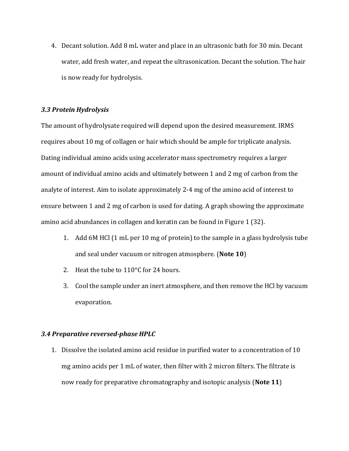4. Decant solution. Add 8 mL water and place in an ultrasonic bath for 30 min. Decant water, add fresh water, and repeat the ultrasonication. Decant the solution. The hair is now ready for hydrolysis.

## *3.3 Protein Hydrolysis*

The amount of hydrolysate required will depend upon the desired measurement. IRMS requires about 10 mg of collagen or hair which should be ample for triplicate analysis. Dating individual amino acids using accelerator mass spectrometry requires a larger amount of individual amino acids and ultimately between 1 and 2 mg of carbon from the analyte of interest. Aim to isolate approximately 2-4 mg of the amino acid of interest to ensure between 1 and 2 mg of carbon is used for dating. A graph showing the approximate amino acid abundances in collagen and keratin can be found in Figure 1 (32).

- 1. Add 6M HCl (1 mL per 10 mg of protein) to the sample in a glass hydrolysis tube and seal under vacuum or nitrogen atmosphere. (Note 10)
- 2. Heat the tube to  $110^{\circ}$ C for 24 hours.
- 3. Cool the sample under an inert atmosphere, and then remove the HCl by vacuum evaporation.

#### *3.4 Preparative reversed-phase HPLC*

1. Dissolve the isolated amino acid residue in purified water to a concentration of 10 mg amino acids per 1 mL of water, then filter with 2 micron filters. The filtrate is now ready for preparative chromatography and isotopic analysis (Note 11)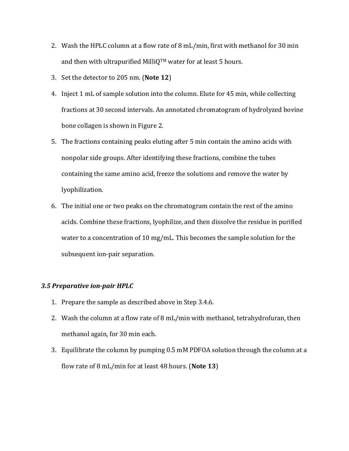- 2. Wash the HPLC column at a flow rate of 8 mL/min, first with methanol for 30 min and then with ultrapurified MilliQ<sup>TM</sup> water for at least 5 hours.
- 3. Set the detector to 205 nm. (Note 12)
- 4. Inject 1 mL of sample solution into the column. Elute for 45 min, while collecting fractions at 30 second intervals. An annotated chromatogram of hydrolyzed bovine bone collagen is shown in Figure 2.
- 5. The fractions containing peaks eluting after 5 min contain the amino acids with nonpolar side groups. After identifying these fractions, combine the tubes containing the same amino acid, freeze the solutions and remove the water by lyophilization.
- 6. The initial one or two peaks on the chromatogram contain the rest of the amino acids. Combine these fractions, lyophilize, and then dissolve the residue in purified water to a concentration of 10 mg/mL. This becomes the sample solution for the subsequent ion-pair separation.

### **3.5 Preparative ion-pair HPLC**

- 1. Prepare the sample as described above in Step 3.4.6.
- 2. Wash the column at a flow rate of 8 mL/min with methanol, tetrahydrofuran, then methanol again, for 30 min each.
- 3. Equilibrate the column by pumping 0.5 mM PDFOA solution through the column at a flow rate of 8 mL/min for at least 48 hours. (Note 13)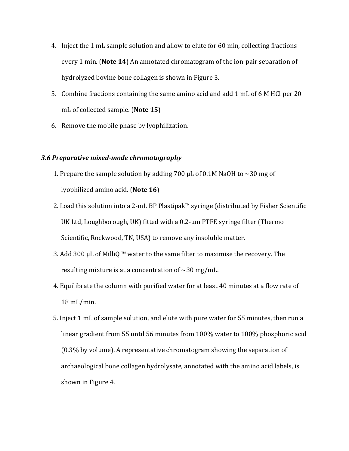- 4. Inject the 1 mL sample solution and allow to elute for 60 min, collecting fractions every 1 min. (Note 14) An annotated chromatogram of the ion-pair separation of hydrolyzed bovine bone collagen is shown in Figure 3.
- 5. Combine fractions containing the same amino acid and add 1 mL of 6 M HCl per 20 mL of collected sample. (Note 15)
- 6. Remove the mobile phase by lyophilization.

## *3.6 Preparative mixed-mode chromatography*

- 1. Prepare the sample solution by adding 700  $\mu$ L of 0.1M NaOH to  $\sim$ 30 mg of lyophilized amino acid. (**Note 16**)
- 2. Load this solution into a 2-mL BP Plastipak™ syringe (distributed by Fisher Scientific UK Ltd, Loughborough, UK) fitted with a  $0.2$ -um PTFE syringe filter (Thermo Scientific, Rockwood, TN, USA) to remove any insoluble matter.
- 3. Add 300  $\mu$ L of MilliQ ™ water to the same filter to maximise the recovery. The resulting mixture is at a concentration of  $\sim$ 30 mg/mL.
- 4. Equilibrate the column with purified water for at least 40 minutes at a flow rate of  $18 \text{ mL/min}$ .
- 5. Inject 1 mL of sample solution, and elute with pure water for 55 minutes, then run a linear gradient from 55 until 56 minutes from 100% water to 100% phosphoric acid  $(0.3\%$  by volume). A representative chromatogram showing the separation of archaeological bone collagen hydrolysate, annotated with the amino acid labels, is shown in Figure 4.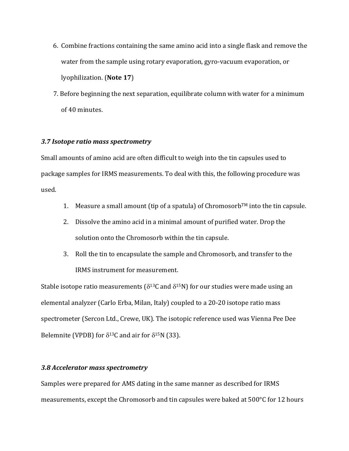- 6. Combine fractions containing the same amino acid into a single flask and remove the water from the sample using rotary evaporation, gyro-vacuum evaporation, or lyophilization. (**Note 17**)
- 7. Before beginning the next separation, equilibrate column with water for a minimum of 40 minutes.

#### *3.7 Isotope ratio mass spectrometry*

Small amounts of amino acid are often difficult to weigh into the tin capsules used to package samples for IRMS measurements. To deal with this, the following procedure was used.

- 1. Measure a small amount (tip of a spatula) of Chromosorb<sup>TM</sup> into the tin capsule.
- 2. Dissolve the amino acid in a minimal amount of purified water. Drop the solution onto the Chromosorb within the tin capsule.
- 3. Roll the tin to encapsulate the sample and Chromosorb, and transfer to the IRMS instrument for measurement.

Stable isotope ratio measurements ( $\delta^{13}$ C and  $\delta^{15}$ N) for our studies were made using an elemental analyzer (Carlo Erba, Milan, Italy) coupled to a  $20-20$  isotope ratio mass spectrometer (Sercon Ltd., Crewe, UK). The isotopic reference used was Vienna Pee Dee Belemnite (VPDB) for  $\delta^{13}$ C and air for  $\delta^{15}$ N (33).

## *3.8 Accelerator mass spectrometry*

Samples were prepared for AMS dating in the same manner as described for IRMS measurements, except the Chromosorb and tin capsules were baked at  $500^{\circ}$ C for 12 hours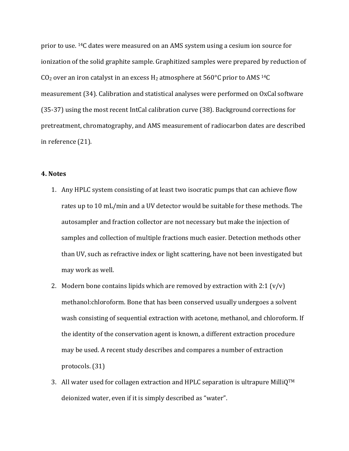prior to use. <sup>14</sup>C dates were measured on an AMS system using a cesium ion source for ionization of the solid graphite sample. Graphitized samples were prepared by reduction of CO<sub>2</sub> over an iron catalyst in an excess  $H_2$  atmosphere at  $560^{\circ}$ C prior to AMS <sup>14</sup>C measurement (34). Calibration and statistical analyses were performed on OxCal software (35-37) using the most recent IntCal calibration curve (38). Background corrections for pretreatment, chromatography, and AMS measurement of radiocarbon dates are described in reference (21).

### **4. Notes**

- 1. Any HPLC system consisting of at least two isocratic pumps that can achieve flow rates up to 10 mL/min and a UV detector would be suitable for these methods. The autosampler and fraction collector are not necessary but make the injection of samples and collection of multiple fractions much easier. Detection methods other than UV, such as refractive index or light scattering, have not been investigated but may work as well.
- 2. Modern bone contains lipids which are removed by extraction with  $2:1 (v/v)$ methanol: chloroform. Bone that has been conserved usually undergoes a solvent wash consisting of sequential extraction with acetone, methanol, and chloroform. If the identity of the conservation agent is known, a different extraction procedure may be used. A recent study describes and compares a number of extraction protocols. (31)
- 3. All water used for collagen extraction and HPLC separation is ultrapure MilliQ<sup>TM</sup> deionized water, even if it is simply described as "water".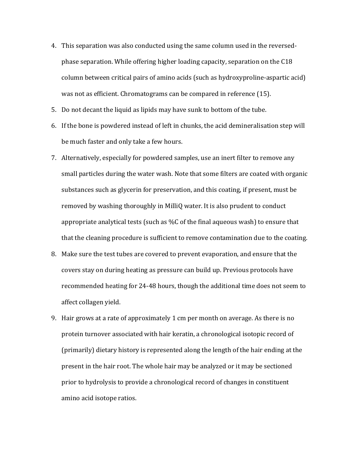- 4. This separation was also conducted using the same column used in the reversedphase separation. While offering higher loading capacity, separation on the  $C18$ column between critical pairs of amino acids (such as hydroxyproline-aspartic acid) was not as efficient. Chromatograms can be compared in reference (15).
- 5. Do not decant the liquid as lipids may have sunk to bottom of the tube.
- 6. If the bone is powdered instead of left in chunks, the acid demineralisation step will be much faster and only take a few hours.
- 7. Alternatively, especially for powdered samples, use an inert filter to remove any small particles during the water wash. Note that some filters are coated with organic substances such as glycerin for preservation, and this coating, if present, must be removed by washing thoroughly in MilliQ water. It is also prudent to conduct appropriate analytical tests (such as %C of the final aqueous wash) to ensure that that the cleaning procedure is sufficient to remove contamination due to the coating.
- 8. Make sure the test tubes are covered to prevent evaporation, and ensure that the covers stay on during heating as pressure can build up. Previous protocols have recommended heating for 24-48 hours, though the additional time does not seem to affect collagen yield.
- 9. Hair grows at a rate of approximately 1 cm per month on average. As there is no protein turnover associated with hair keratin, a chronological isotopic record of (primarily) dietary history is represented along the length of the hair ending at the present in the hair root. The whole hair may be analyzed or it may be sectioned prior to hydrolysis to provide a chronological record of changes in constituent amino acid isotope ratios.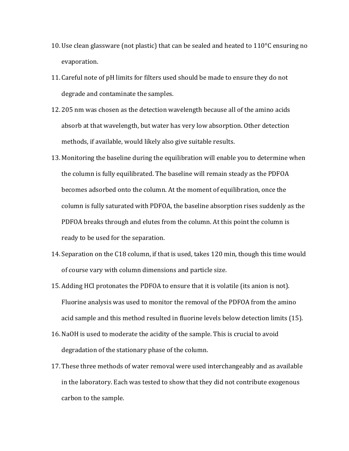- 10. Use clean glassware (not plastic) that can be sealed and heated to  $110^{\circ}$ C ensuring no evaporation.
- 11. Careful note of pH limits for filters used should be made to ensure they do not degrade and contaminate the samples.
- 12. 205 nm was chosen as the detection wavelength because all of the amino acids absorb at that wavelength, but water has very low absorption. Other detection methods, if available, would likely also give suitable results.
- 13. Monitoring the baseline during the equilibration will enable you to determine when the column is fully equilibrated. The baseline will remain steady as the PDFOA becomes adsorbed onto the column. At the moment of equilibration, once the column is fully saturated with PDFOA, the baseline absorption rises suddenly as the PDFOA breaks through and elutes from the column. At this point the column is ready to be used for the separation.
- 14. Separation on the C18 column, if that is used, takes 120 min, though this time would of course vary with column dimensions and particle size.
- 15. Adding HCl protonates the PDFOA to ensure that it is volatile (its anion is not). Fluorine analysis was used to monitor the removal of the PDFOA from the amino acid sample and this method resulted in fluorine levels below detection limits (15).
- 16. NaOH is used to moderate the acidity of the sample. This is crucial to avoid degradation of the stationary phase of the column.
- 17. These three methods of water removal were used interchangeably and as available in the laboratory. Each was tested to show that they did not contribute exogenous carbon to the sample.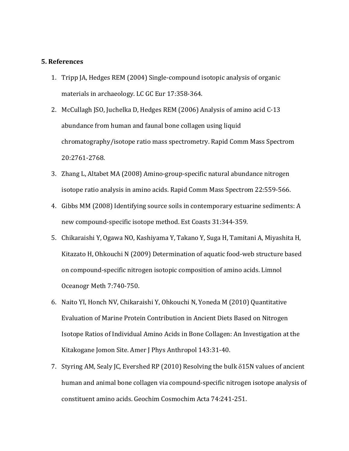#### **5. References**

- 1. Tripp JA, Hedges REM (2004) Single-compound isotopic analysis of organic materials in archaeology. LC GC Eur 17:358-364.
- 2. McCullagh JSO, Juchelka D, Hedges REM (2006) Analysis of amino acid C-13 abundance from human and faunal bone collagen using liquid chromatography/isotope ratio mass spectrometry. Rapid Comm Mass Spectrom 20:2761-2768.
- 3. Zhang L, Altabet MA (2008) Amino-group-specific natural abundance nitrogen isotope ratio analysis in amino acids. Rapid Comm Mass Spectrom 22:559-566.
- 4. Gibbs MM (2008) Identifying source soils in contemporary estuarine sediments: A new compound-specific isotope method. Est Coasts 31:344-359.
- 5. Chikaraishi Y, Ogawa NO, Kashiyama Y, Takano Y, Suga H, Tamitani A, Miyashita H, Kitazato H, Ohkouchi N (2009) Determination of aquatic food-web structure based on compound-specific nitrogen isotopic composition of amino acids. Limnol Oceanogr Meth 7:740-750.
- 6. Naito YI, Honch NV, Chikaraishi Y, Ohkouchi N, Yoneda M (2010) Quantitative Evaluation of Marine Protein Contribution in Ancient Diets Based on Nitrogen Isotope Ratios of Individual Amino Acids in Bone Collagen: An Investigation at the Kitakogane Jomon Site. Amer J Phys Anthropol 143:31-40.
- 7. Styring AM, Sealy JC, Evershed RP (2010) Resolving the bulk  $\delta$ 15N values of ancient human and animal bone collagen via compound-specific nitrogen isotope analysis of constituent amino acids. Geochim Cosmochim Acta 74:241-251.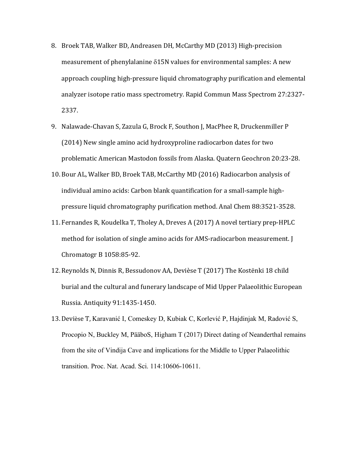- 8. Broek TAB, Walker BD, Andreasen DH, McCarthy MD (2013) High-precision measurement of phenylalanine  $\delta15N$  values for environmental samples: A new approach coupling high-pressure liquid chromatography purification and elemental analyzer isotope ratio mass spectrometry. Rapid Commun Mass Spectrom 27:2327-2337.
- 9. Nalawade-Chavan S, Zazula G, Brock F, Southon J, MacPhee R, Druckenmiller P (2014) New single amino acid hydroxyproline radiocarbon dates for two problematic American Mastodon fossils from Alaska. Quatern Geochron 20:23-28.
- 10. Bour AL, Walker BD, Broek TAB, McCarthy MD (2016) Radiocarbon analysis of individual amino acids: Carbon blank quantification for a small-sample highpressure liquid chromatography purification method. Anal Chem 88:3521-3528.
- 11. Fernandes R, Koudelka T, Tholey A, Dreves A (2017) A novel tertiary prep-HPLC method for isolation of single amino acids for AMS-radiocarbon measurement. [ Chromatogr B 1058:85-92.
- 12. Reynolds N, Dinnis R, Bessudonov AA, Devièse T (2017) The Kostënki 18 child burial and the cultural and funerary landscape of Mid Upper Palaeolithic European Russia. Antiquity 91:1435-1450.
- 13. Devièse T, Karavanić I, Comeskey D, Kubiak C, Korlević P, Hajdinjak M, Radović S, Procopio N, Buckley M, PääboS, Higham T (2017) Direct dating of Neanderthal remains from the site of Vindija Cave and implications for the Middle to Upper Palaeolithic transition. Proc. Nat. Acad. Sci. 114:10606-10611.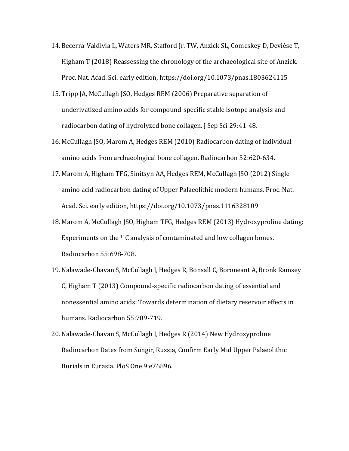- 14. Becerra-Valdivia L, Waters MR, Stafford Jr. TW, Anzick SL, Comeskey D, Devièse T, Higham  $T(2018)$  Reassessing the chronology of the archaeological site of Anzick. Proc. Nat. Acad. Sci. early edition, https://doi.org/10.1073/pnas.1803624115
- 15. Tripp JA, McCullagh JSO, Hedges REM (2006) Preparative separation of underivatized amino acids for compound-specific stable isotope analysis and radiocarbon dating of hydrolyzed bone collagen. J Sep Sci 29:41-48.
- 16. McCullagh JSO, Marom A, Hedges REM (2010) Radiocarbon dating of individual amino acids from archaeological bone collagen. Radiocarbon 52:620-634.
- 17. Marom A, Higham TFG, Sinitsyn AA, Hedges REM, McCullagh JSO (2012) Single amino acid radiocarbon dating of Upper Palaeolithic modern humans. Proc. Nat. Acad. Sci. early edition, https://doi.org/10.1073/pnas.1116328109
- 18. Marom A, McCullagh JSO, Higham TFG, Hedges REM (2013) Hydroxyproline dating: Experiments on the  $^{14}$ C analysis of contaminated and low collagen bones. Radiocarbon 55:698-708.
- 19. Nalawade-Chavan S, McCullagh J, Hedges R, Bonsall C, Boroneant A, Bronk Ramsey  $C$ , Higham T (2013) Compound-specific radiocarbon dating of essential and nonessential amino acids: Towards determination of dietary reservoir effects in humans. Radiocarbon 55:709-719.
- 20. Nalawade-Chavan S, McCullagh J, Hedges R (2014) New Hydroxyproline Radiocarbon Dates from Sungir, Russia, Confirm Early Mid Upper Palaeolithic Burials in Eurasia. PloS One 9:e76896.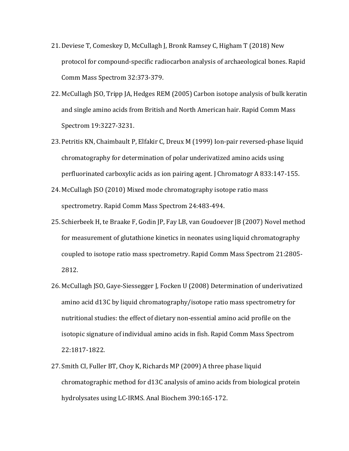- 21. Deviese T, Comeskey D, McCullagh J, Bronk Ramsey C, Higham T (2018) New protocol for compound-specific radiocarbon analysis of archaeological bones. Rapid Comm Mass Spectrom 32:373-379.
- 22. McCullagh JSO, Tripp JA, Hedges REM (2005) Carbon isotope analysis of bulk keratin and single amino acids from British and North American hair. Rapid Comm Mass Spectrom 19:3227-3231.
- 23. Petritis KN, Chaimbault P, Elfakir C, Dreux M (1999) Ion-pair reversed-phase liquid chromatography for determination of polar underivatized amino acids using perfluorinated carboxylic acids as ion pairing agent. J Chromatogr A 833:147-155.
- 24. McCullagh JSO (2010) Mixed mode chromatography isotope ratio mass spectrometry. Rapid Comm Mass Spectrom 24:483-494.
- 25. Schierbeek H, te Braake F, Godin JP, Fay LB, van Goudoever JB (2007) Novel method for measurement of glutathione kinetics in neonates using liquid chromatography coupled to isotope ratio mass spectrometry. Rapid Comm Mass Spectrom 21:2805-2812.
- 26. McCullagh JSO, Gaye-Siessegger J, Focken U (2008) Determination of underivatized amino acid d13C by liquid chromatography/isotope ratio mass spectrometry for nutritional studies: the effect of dietary non-essential amino acid profile on the isotopic signature of individual amino acids in fish. Rapid Comm Mass Spectrom 22:1817-1822.
- 27. Smith CI, Fuller BT, Choy K, Richards MP (2009) A three phase liquid chromatographic method for d13C analysis of amino acids from biological protein hydrolysates using LC-IRMS. Anal Biochem 390:165-172.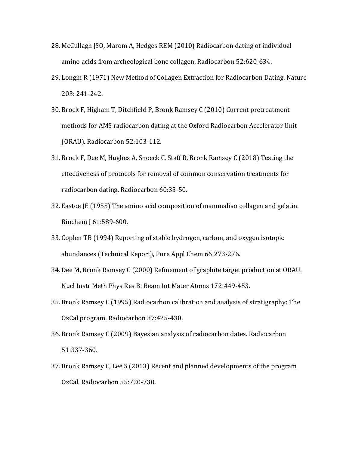- 28. McCullagh JSO, Marom A, Hedges REM (2010) Radiocarbon dating of individual amino acids from archeological bone collagen. Radiocarbon 52:620-634.
- 29. Longin R (1971) New Method of Collagen Extraction for Radiocarbon Dating. Nature 203: 241-242.
- 30. Brock F, Higham T, Ditchfield P, Bronk Ramsey C (2010) Current pretreatment methods for AMS radiocarbon dating at the Oxford Radiocarbon Accelerator Unit (ORAU). Radiocarbon 52:103-112.
- 31. Brock F, Dee M, Hughes A, Snoeck C, Staff R, Bronk Ramsey C (2018) Testing the effectiveness of protocols for removal of common conservation treatments for radiocarbon dating. Radiocarbon 60:35-50.
- 32. Eastoe JE (1955) The amino acid composition of mammalian collagen and gelatin. Biochem J 61:589-600.
- 33. Coplen TB (1994) Reporting of stable hydrogen, carbon, and oxygen isotopic abundances (Technical Report), Pure Appl Chem 66:273-276.
- 34. Dee M, Bronk Ramsey C (2000) Refinement of graphite target production at ORAU. Nucl Instr Meth Phys Res B: Beam Int Mater Atoms 172:449-453.
- 35. Bronk Ramsey C (1995) Radiocarbon calibration and analysis of stratigraphy: The OxCal program. Radiocarbon 37:425-430.
- 36. Bronk Ramsey C (2009) Bayesian analysis of radiocarbon dates. Radiocarbon 51:337-360.
- 37. Bronk Ramsey C, Lee S (2013) Recent and planned developments of the program OxCal. Radiocarbon 55:720-730.